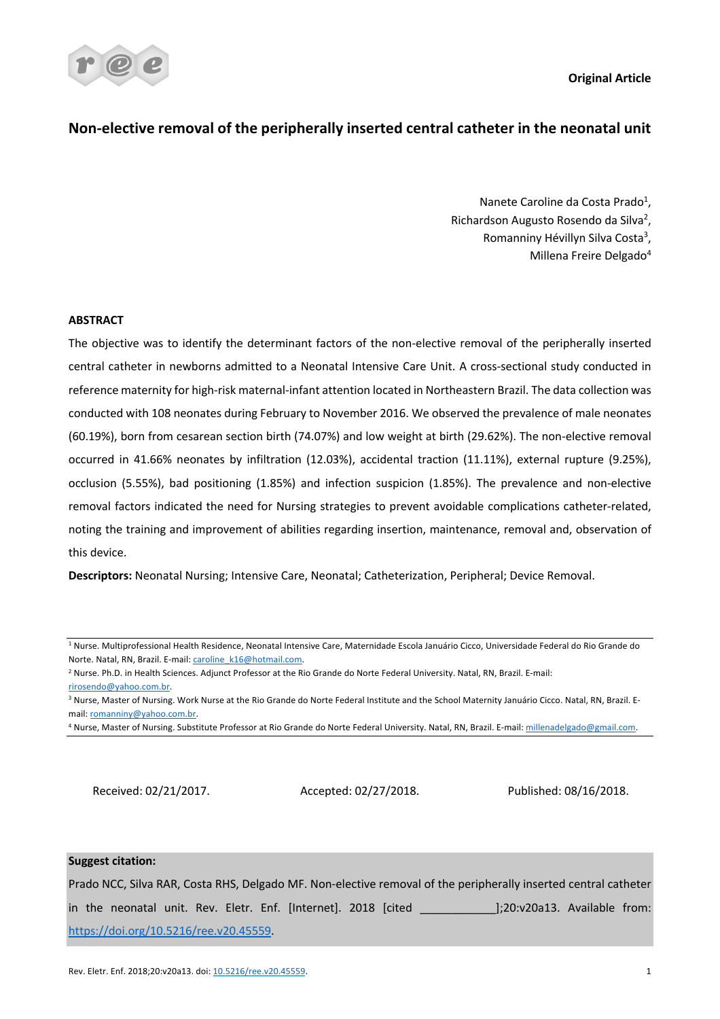**Original Article**



# **Non-elective removal of the peripherally inserted central catheter in the neonatal unit**

Nanete Caroline da Costa Prado<sup>1</sup>, Richardson Augusto Rosendo da Silva<sup>2</sup>, Romanniny Hévillyn Silva Costa<sup>3</sup>, Millena Freire Delgado4

## **ABSTRACT**

The objective was to identify the determinant factors of the non-elective removal of the peripherally inserted central catheter in newborns admitted to a Neonatal Intensive Care Unit. A cross-sectional study conducted in reference maternity for high-risk maternal-infant attention located in Northeastern Brazil. The data collection was conducted with 108 neonates during February to November 2016. We observed the prevalence of male neonates (60.19%), born from cesarean section birth (74.07%) and low weight at birth (29.62%). The non-elective removal occurred in 41.66% neonates by infiltration (12.03%), accidental traction (11.11%), external rupture (9.25%), occlusion (5.55%), bad positioning (1.85%) and infection suspicion (1.85%). The prevalence and non-elective removal factors indicated the need for Nursing strategies to prevent avoidable complications catheter-related, noting the training and improvement of abilities regarding insertion, maintenance, removal and, observation of this device.

**Descriptors:** Neonatal Nursing; Intensive Care, Neonatal; Catheterization, Peripheral; Device Removal.

<sup>3</sup> Nurse, Master of Nursing. Work Nurse at the Rio Grande do Norte Federal Institute and the School Maternity Januário Cicco. Natal, RN, Brazil. Email: romanniny@yahoo.com.br.

Received: 02/21/2017. Accepted: 02/27/2018. Published: 08/16/2018.

## **Suggest citation:**

Prado NCC, Silva RAR, Costa RHS, Delgado MF. Non-elective removal of the peripherally inserted central catheter in the neonatal unit. Rev. Eletr. Enf. [Internet]. 2018 [cited | |20:v20a13. Available from: https://doi.org/10.5216/ree.v20.45559.

<sup>1</sup> Nurse. Multiprofessional Health Residence, Neonatal Intensive Care, Maternidade Escola Januário Cicco, Universidade Federal do Rio Grande do Norte. Natal, RN, Brazil. E-mail: caroline\_k16@hotmail.com.

<sup>2</sup> Nurse. Ph.D. in Health Sciences. Adjunct Professor at the Rio Grande do Norte Federal University. Natal, RN, Brazil. E-mail: rirosendo@yahoo.com.br.

<sup>4</sup> Nurse, Master of Nursing. Substitute Professor at Rio Grande do Norte Federal University. Natal, RN, Brazil. E-mail: millenadelgado@gmail.com.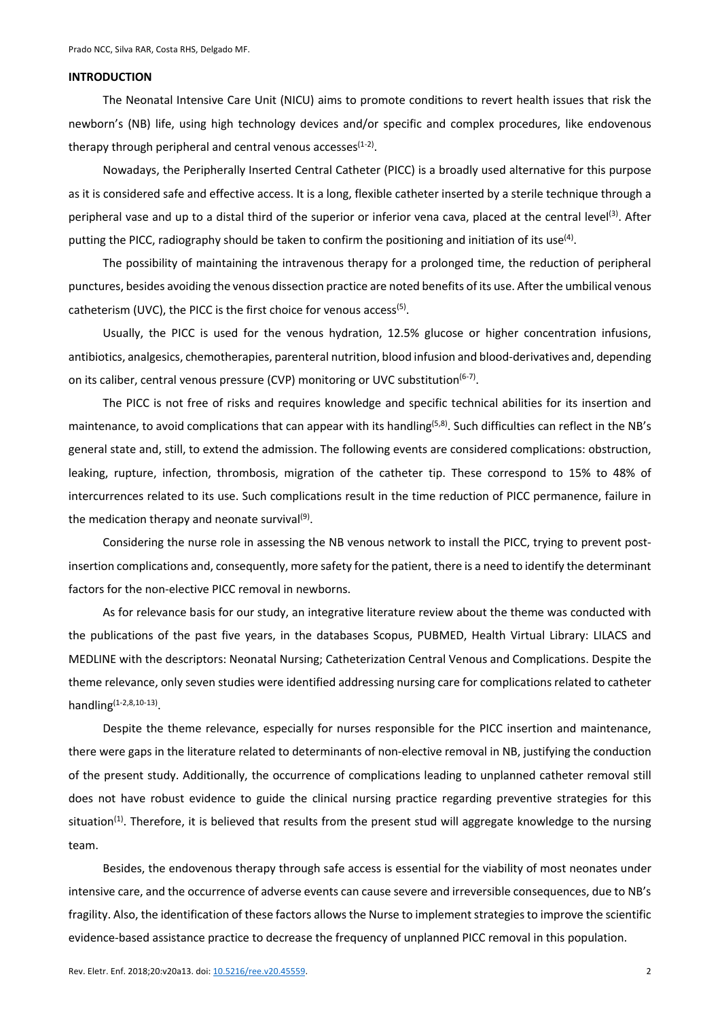#### **INTRODUCTION**

The Neonatal Intensive Care Unit (NICU) aims to promote conditions to revert health issues that risk the newborn's (NB) life, using high technology devices and/or specific and complex procedures, like endovenous therapy through peripheral and central venous accesses $(1-2)$ .

Nowadays, the Peripherally Inserted Central Catheter (PICC) is a broadly used alternative for this purpose as it is considered safe and effective access. It is a long, flexible catheter inserted by a sterile technique through a peripheral vase and up to a distal third of the superior or inferior vena cava, placed at the central level<sup>(3)</sup>. After putting the PICC, radiography should be taken to confirm the positioning and initiation of its use<sup>(4)</sup>.

The possibility of maintaining the intravenous therapy for a prolonged time, the reduction of peripheral punctures, besides avoiding the venous dissection practice are noted benefits of its use. After the umbilical venous catheterism (UVC), the PICC is the first choice for venous access<sup>(5)</sup>.

Usually, the PICC is used for the venous hydration, 12.5% glucose or higher concentration infusions, antibiotics, analgesics, chemotherapies, parenteral nutrition, blood infusion and blood-derivatives and, depending on its caliber, central venous pressure (CVP) monitoring or UVC substitution<sup>(6-7)</sup>.

The PICC is not free of risks and requires knowledge and specific technical abilities for its insertion and maintenance, to avoid complications that can appear with its handling<sup> $(5,8)$ </sup>. Such difficulties can reflect in the NB's general state and, still, to extend the admission. The following events are considered complications: obstruction, leaking, rupture, infection, thrombosis, migration of the catheter tip. These correspond to 15% to 48% of intercurrences related to its use. Such complications result in the time reduction of PICC permanence, failure in the medication therapy and neonate survival $(9)$ .

Considering the nurse role in assessing the NB venous network to install the PICC, trying to prevent postinsertion complications and, consequently, more safety for the patient, there is a need to identify the determinant factors for the non-elective PICC removal in newborns.

As for relevance basis for our study, an integrative literature review about the theme was conducted with the publications of the past five years, in the databases Scopus, PUBMED, Health Virtual Library: LILACS and MEDLINE with the descriptors: Neonatal Nursing; Catheterization Central Venous and Complications. Despite the theme relevance, only seven studies were identified addressing nursing care for complications related to catheter handling $(1-2,8,10-13)$ .

Despite the theme relevance, especially for nurses responsible for the PICC insertion and maintenance, there were gaps in the literature related to determinants of non-elective removal in NB, justifying the conduction of the present study. Additionally, the occurrence of complications leading to unplanned catheter removal still does not have robust evidence to guide the clinical nursing practice regarding preventive strategies for this situation<sup>(1)</sup>. Therefore, it is believed that results from the present stud will aggregate knowledge to the nursing team.

Besides, the endovenous therapy through safe access is essential for the viability of most neonates under intensive care, and the occurrence of adverse events can cause severe and irreversible consequences, due to NB's fragility. Also, the identification of these factors allows the Nurse to implement strategies to improve the scientific evidence-based assistance practice to decrease the frequency of unplanned PICC removal in this population.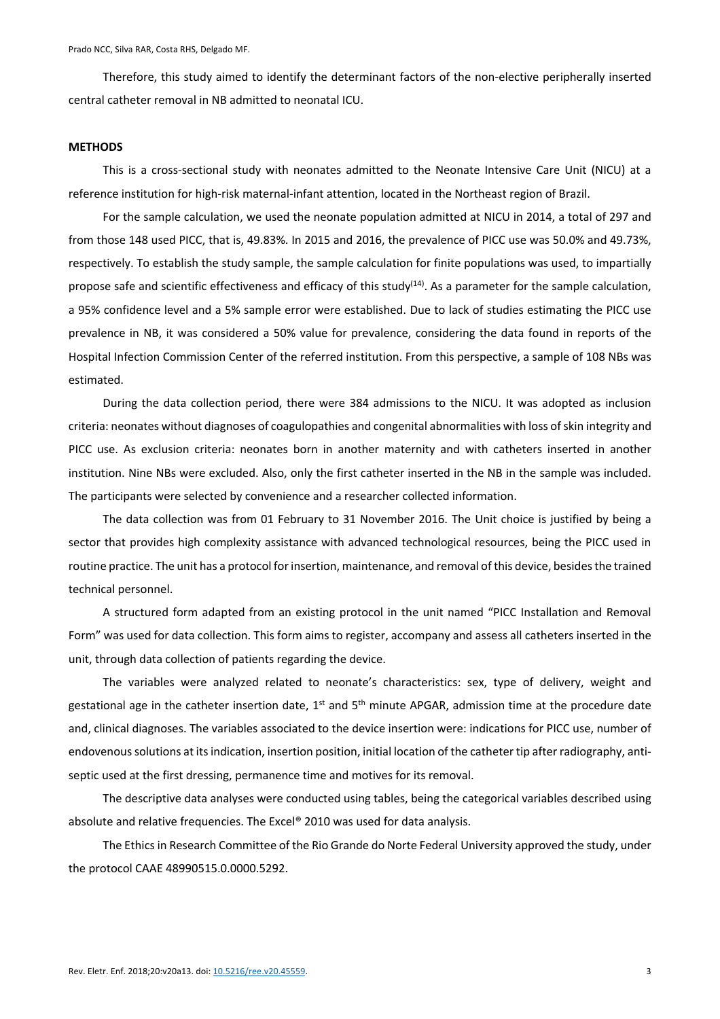Therefore, this study aimed to identify the determinant factors of the non-elective peripherally inserted central catheter removal in NB admitted to neonatal ICU.

### **METHODS**

This is a cross-sectional study with neonates admitted to the Neonate Intensive Care Unit (NICU) at a reference institution for high-risk maternal-infant attention, located in the Northeast region of Brazil.

For the sample calculation, we used the neonate population admitted at NICU in 2014, a total of 297 and from those 148 used PICC, that is, 49.83%. In 2015 and 2016, the prevalence of PICC use was 50.0% and 49.73%, respectively. To establish the study sample, the sample calculation for finite populations was used, to impartially propose safe and scientific effectiveness and efficacy of this study<sup>(14)</sup>. As a parameter for the sample calculation, a 95% confidence level and a 5% sample error were established. Due to lack of studies estimating the PICC use prevalence in NB, it was considered a 50% value for prevalence, considering the data found in reports of the Hospital Infection Commission Center of the referred institution. From this perspective, a sample of 108 NBs was estimated.

During the data collection period, there were 384 admissions to the NICU. It was adopted as inclusion criteria: neonates without diagnoses of coagulopathies and congenital abnormalities with loss of skin integrity and PICC use. As exclusion criteria: neonates born in another maternity and with catheters inserted in another institution. Nine NBs were excluded. Also, only the first catheter inserted in the NB in the sample was included. The participants were selected by convenience and a researcher collected information.

The data collection was from 01 February to 31 November 2016. The Unit choice is justified by being a sector that provides high complexity assistance with advanced technological resources, being the PICC used in routine practice. The unit has a protocol for insertion, maintenance, and removal of this device, besides the trained technical personnel.

A structured form adapted from an existing protocol in the unit named "PICC Installation and Removal Form" was used for data collection. This form aims to register, accompany and assess all catheters inserted in the unit, through data collection of patients regarding the device.

The variables were analyzed related to neonate's characteristics: sex, type of delivery, weight and gestational age in the catheter insertion date,  $1^{st}$  and  $5^{th}$  minute APGAR, admission time at the procedure date and, clinical diagnoses. The variables associated to the device insertion were: indications for PICC use, number of endovenous solutions at its indication, insertion position, initial location of the catheter tip after radiography, antiseptic used at the first dressing, permanence time and motives for its removal.

The descriptive data analyses were conducted using tables, being the categorical variables described using absolute and relative frequencies. The Excel® 2010 was used for data analysis.

The Ethics in Research Committee of the Rio Grande do Norte Federal University approved the study, under the protocol CAAE 48990515.0.0000.5292.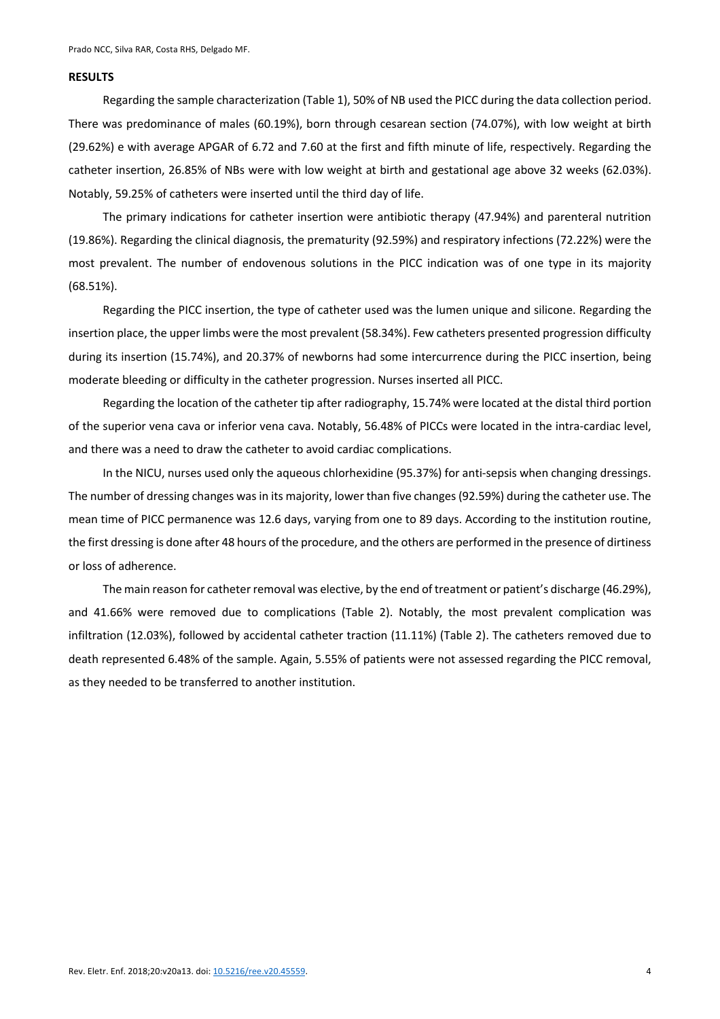#### **RESULTS**

Regarding the sample characterization (Table 1), 50% of NB used the PICC during the data collection period. There was predominance of males (60.19%), born through cesarean section (74.07%), with low weight at birth (29.62%) e with average APGAR of 6.72 and 7.60 at the first and fifth minute of life, respectively. Regarding the catheter insertion, 26.85% of NBs were with low weight at birth and gestational age above 32 weeks (62.03%). Notably, 59.25% of catheters were inserted until the third day of life.

The primary indications for catheter insertion were antibiotic therapy (47.94%) and parenteral nutrition (19.86%). Regarding the clinical diagnosis, the prematurity (92.59%) and respiratory infections (72.22%) were the most prevalent. The number of endovenous solutions in the PICC indication was of one type in its majority (68.51%).

Regarding the PICC insertion, the type of catheter used was the lumen unique and silicone. Regarding the insertion place, the upper limbs were the most prevalent (58.34%). Few catheters presented progression difficulty during its insertion (15.74%), and 20.37% of newborns had some intercurrence during the PICC insertion, being moderate bleeding or difficulty in the catheter progression. Nurses inserted all PICC.

Regarding the location of the catheter tip after radiography, 15.74% were located at the distal third portion of the superior vena cava or inferior vena cava. Notably, 56.48% of PICCs were located in the intra-cardiac level, and there was a need to draw the catheter to avoid cardiac complications.

In the NICU, nurses used only the aqueous chlorhexidine (95.37%) for anti-sepsis when changing dressings. The number of dressing changes was in its majority, lower than five changes (92.59%) during the catheter use. The mean time of PICC permanence was 12.6 days, varying from one to 89 days. According to the institution routine, the first dressing is done after 48 hours of the procedure, and the others are performed in the presence of dirtiness or loss of adherence.

The main reason for catheter removal was elective, by the end of treatment or patient's discharge (46.29%), and 41.66% were removed due to complications (Table 2). Notably, the most prevalent complication was infiltration (12.03%), followed by accidental catheter traction (11.11%) (Table 2). The catheters removed due to death represented 6.48% of the sample. Again, 5.55% of patients were not assessed regarding the PICC removal, as they needed to be transferred to another institution.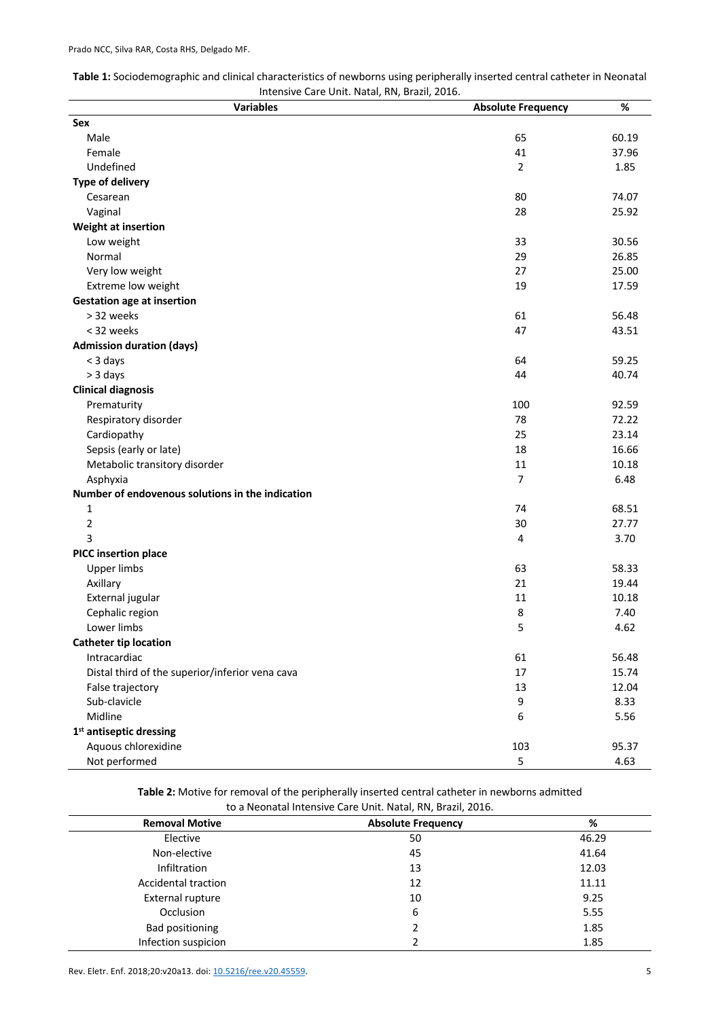| Table 1: Sociodemographic and clinical characteristics of newborns using peripherally inserted central catheter in Neonatal |
|-----------------------------------------------------------------------------------------------------------------------------|
| Intensive Care Unit. Natal, RN, Brazil, 2016.                                                                               |

| interisive care Office Ivatal, ISIV, Diazil, 2010.<br><b>Variables</b> | <b>Absolute Frequency</b> | %     |
|------------------------------------------------------------------------|---------------------------|-------|
| Sex                                                                    |                           |       |
| Male                                                                   | 65                        | 60.19 |
| Female                                                                 | 41                        | 37.96 |
| Undefined                                                              | $\overline{2}$            | 1.85  |
| <b>Type of delivery</b>                                                |                           |       |
| Cesarean                                                               | 80                        | 74.07 |
| Vaginal                                                                | 28                        | 25.92 |
| Weight at insertion                                                    |                           |       |
| Low weight                                                             | 33                        | 30.56 |
| Normal                                                                 | 29                        | 26.85 |
| Very low weight                                                        | 27                        | 25.00 |
| Extreme low weight                                                     | 19                        | 17.59 |
| <b>Gestation age at insertion</b>                                      |                           |       |
| > 32 weeks                                                             | 61                        | 56.48 |
| < 32 weeks                                                             | 47                        | 43.51 |
| <b>Admission duration (days)</b>                                       |                           |       |
| < 3 days                                                               | 64                        | 59.25 |
| > 3 days                                                               | 44                        | 40.74 |
| <b>Clinical diagnosis</b>                                              |                           |       |
| Prematurity                                                            | 100                       | 92.59 |
| Respiratory disorder                                                   | 78                        | 72.22 |
| Cardiopathy                                                            | 25                        | 23.14 |
| Sepsis (early or late)                                                 | 18                        | 16.66 |
| Metabolic transitory disorder                                          | $11\,$                    | 10.18 |
| Asphyxia                                                               | $\overline{7}$            | 6.48  |
| Number of endovenous solutions in the indication                       |                           |       |
| 1                                                                      | 74                        | 68.51 |
| $\overline{2}$                                                         | 30                        | 27.77 |
| 3                                                                      | 4                         | 3.70  |
| <b>PICC insertion place</b>                                            |                           |       |
| <b>Upper limbs</b>                                                     | 63                        | 58.33 |
| Axillary                                                               | 21                        | 19.44 |
| External jugular                                                       | 11                        | 10.18 |
| Cephalic region                                                        | 8                         | 7.40  |
| Lower limbs                                                            | 5                         | 4.62  |
| <b>Catheter tip location</b>                                           |                           |       |
| Intracardiac                                                           | 61                        | 56.48 |
| Distal third of the superior/inferior vena cava                        | 17                        | 15.74 |
| False trajectory                                                       | 13                        | 12.04 |
| Sub-clavicle                                                           | 9                         | 8.33  |
| Midline                                                                | 6                         | 5.56  |
| 1 <sup>st</sup> antiseptic dressing                                    |                           |       |
| Aquous chlorexidine                                                    | 103                       | 95.37 |
| Not performed                                                          | 5                         | 4.63  |

**Table 2:** Motive for removal of the peripherally inserted central catheter in newborns admitted<br>
the a Negaratel Integrative Care Unit, Natal PN, Presil, 2016

| to a Neonatal Intensive Care Unit. Natal, RN, Brazil, 2016. |                           |       |  |  |
|-------------------------------------------------------------|---------------------------|-------|--|--|
| <b>Removal Motive</b>                                       | <b>Absolute Frequency</b> | %     |  |  |
| Elective                                                    | 50                        | 46.29 |  |  |
| Non-elective                                                | 45                        | 41.64 |  |  |
| <b>Infiltration</b>                                         | 13                        | 12.03 |  |  |
| <b>Accidental traction</b>                                  | 12                        | 11.11 |  |  |
| <b>External rupture</b>                                     | 10                        | 9.25  |  |  |
| Occlusion                                                   | 6                         | 5.55  |  |  |
| <b>Bad positioning</b>                                      |                           | 1.85  |  |  |
| Infection suspicion                                         |                           | 1.85  |  |  |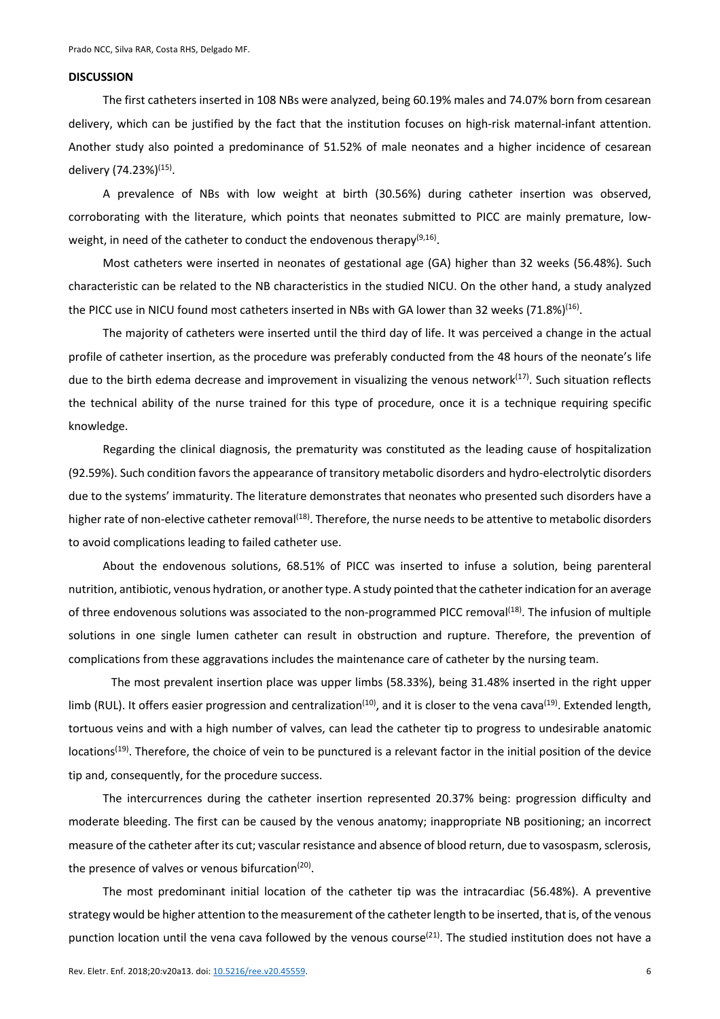### **DISCUSSION**

The first catheters inserted in 108 NBs were analyzed, being 60.19% males and 74.07% born from cesarean delivery, which can be justified by the fact that the institution focuses on high-risk maternal-infant attention. Another study also pointed a predominance of 51.52% of male neonates and a higher incidence of cesarean delivery (74.23%)(15).

A prevalence of NBs with low weight at birth (30.56%) during catheter insertion was observed, corroborating with the literature, which points that neonates submitted to PICC are mainly premature, lowweight, in need of the catheter to conduct the endovenous therapy<sup>(9,16)</sup>.

Most catheters were inserted in neonates of gestational age (GA) higher than 32 weeks (56.48%). Such characteristic can be related to the NB characteristics in the studied NICU. On the other hand, a study analyzed the PICC use in NICU found most catheters inserted in NBs with GA lower than 32 weeks  $(71.8%)^{(16)}$ .

The majority of catheters were inserted until the third day of life. It was perceived a change in the actual profile of catheter insertion, as the procedure was preferably conducted from the 48 hours of the neonate's life due to the birth edema decrease and improvement in visualizing the venous network<sup>(17)</sup>. Such situation reflects the technical ability of the nurse trained for this type of procedure, once it is a technique requiring specific knowledge.

Regarding the clinical diagnosis, the prematurity was constituted as the leading cause of hospitalization (92.59%). Such condition favors the appearance of transitory metabolic disorders and hydro-electrolytic disorders due to the systems' immaturity. The literature demonstrates that neonates who presented such disorders have a higher rate of non-elective catheter removal $^{(18)}$ . Therefore, the nurse needs to be attentive to metabolic disorders to avoid complications leading to failed catheter use.

About the endovenous solutions, 68.51% of PICC was inserted to infuse a solution, being parenteral nutrition, antibiotic, venous hydration, or another type. A study pointed that the catheter indication for an average of three endovenous solutions was associated to the non-programmed PICC removal<sup>(18)</sup>. The infusion of multiple solutions in one single lumen catheter can result in obstruction and rupture. Therefore, the prevention of complications from these aggravations includes the maintenance care of catheter by the nursing team.

The most prevalent insertion place was upper limbs (58.33%), being 31.48% inserted in the right upper limb (RUL). It offers easier progression and centralization<sup>(10)</sup>, and it is closer to the vena cava<sup>(19)</sup>. Extended length, tortuous veins and with a high number of valves, can lead the catheter tip to progress to undesirable anatomic locations<sup>(19)</sup>. Therefore, the choice of vein to be punctured is a relevant factor in the initial position of the device tip and, consequently, for the procedure success.

The intercurrences during the catheter insertion represented 20.37% being: progression difficulty and moderate bleeding. The first can be caused by the venous anatomy; inappropriate NB positioning; an incorrect measure of the catheter after its cut; vascular resistance and absence of blood return, due to vasospasm, sclerosis, the presence of valves or venous bifurcation<sup>(20)</sup>.

The most predominant initial location of the catheter tip was the intracardiac (56.48%). A preventive strategy would be higher attention to the measurement of the catheter length to be inserted, that is, of the venous punction location until the vena cava followed by the venous course<sup>(21)</sup>. The studied institution does not have a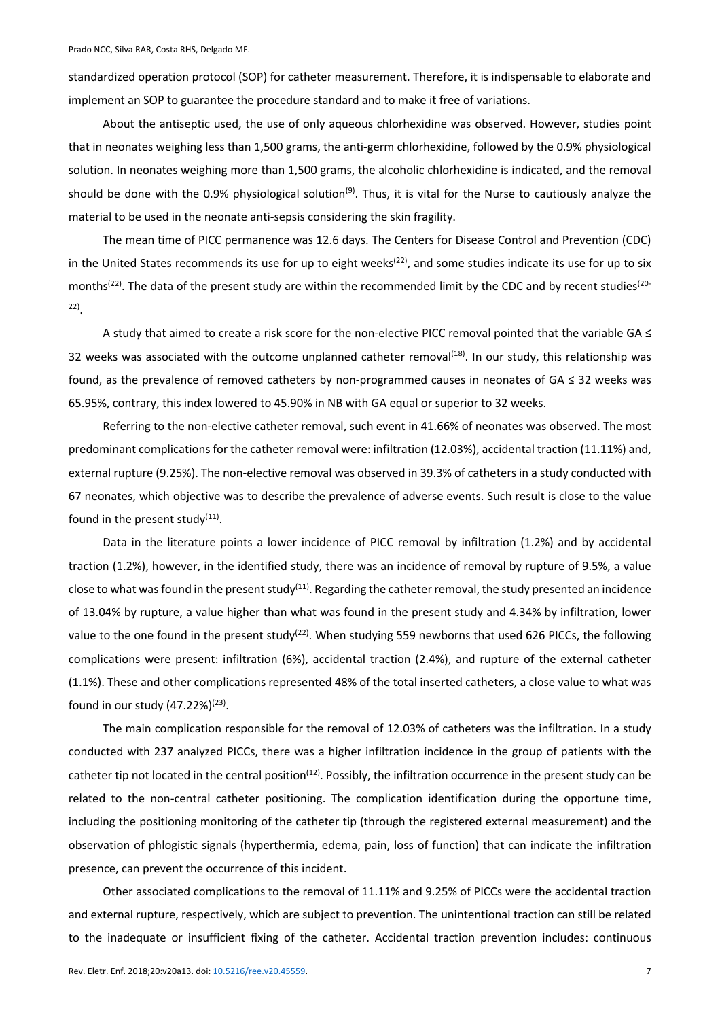standardized operation protocol (SOP) for catheter measurement. Therefore, it is indispensable to elaborate and implement an SOP to guarantee the procedure standard and to make it free of variations.

About the antiseptic used, the use of only aqueous chlorhexidine was observed. However, studies point that in neonates weighing less than 1,500 grams, the anti-germ chlorhexidine, followed by the 0.9% physiological solution. In neonates weighing more than 1,500 grams, the alcoholic chlorhexidine is indicated, and the removal should be done with the 0.9% physiological solution<sup>(9)</sup>. Thus, it is vital for the Nurse to cautiously analyze the material to be used in the neonate anti-sepsis considering the skin fragility.

The mean time of PICC permanence was 12.6 days. The Centers for Disease Control and Prevention (CDC) in the United States recommends its use for up to eight weeks<sup>(22)</sup>, and some studies indicate its use for up to six months<sup>(22)</sup>. The data of the present study are within the recommended limit by the CDC and by recent studies<sup>(20-</sup> 22).

A study that aimed to create a risk score for the non-elective PICC removal pointed that the variable GA ≤ 32 weeks was associated with the outcome unplanned catheter removal<sup>(18)</sup>. In our study, this relationship was found, as the prevalence of removed catheters by non-programmed causes in neonates of GA ≤ 32 weeks was 65.95%, contrary, this index lowered to 45.90% in NB with GA equal or superior to 32 weeks.

Referring to the non-elective catheter removal, such event in 41.66% of neonates was observed. The most predominant complications for the catheter removal were: infiltration (12.03%), accidental traction (11.11%) and, external rupture (9.25%). The non-elective removal was observed in 39.3% of catheters in a study conducted with 67 neonates, which objective was to describe the prevalence of adverse events. Such result is close to the value found in the present study $(11)$ .

Data in the literature points a lower incidence of PICC removal by infiltration (1.2%) and by accidental traction (1.2%), however, in the identified study, there was an incidence of removal by rupture of 9.5%, a value close to what was found in the present study<sup>(11)</sup>. Regarding the catheter removal, the study presented an incidence of 13.04% by rupture, a value higher than what was found in the present study and 4.34% by infiltration, lower value to the one found in the present study<sup>(22)</sup>. When studying 559 newborns that used 626 PICCs, the following complications were present: infiltration (6%), accidental traction (2.4%), and rupture of the external catheter (1.1%). These and other complications represented 48% of the total inserted catheters, a close value to what was found in our study  $(47.22\%)^{(23)}$ .

The main complication responsible for the removal of 12.03% of catheters was the infiltration. In a study conducted with 237 analyzed PICCs, there was a higher infiltration incidence in the group of patients with the catheter tip not located in the central position<sup>(12)</sup>. Possibly, the infiltration occurrence in the present study can be related to the non-central catheter positioning. The complication identification during the opportune time, including the positioning monitoring of the catheter tip (through the registered external measurement) and the observation of phlogistic signals (hyperthermia, edema, pain, loss of function) that can indicate the infiltration presence, can prevent the occurrence of this incident.

Other associated complications to the removal of 11.11% and 9.25% of PICCs were the accidental traction and external rupture, respectively, which are subject to prevention. The unintentional traction can still be related to the inadequate or insufficient fixing of the catheter. Accidental traction prevention includes: continuous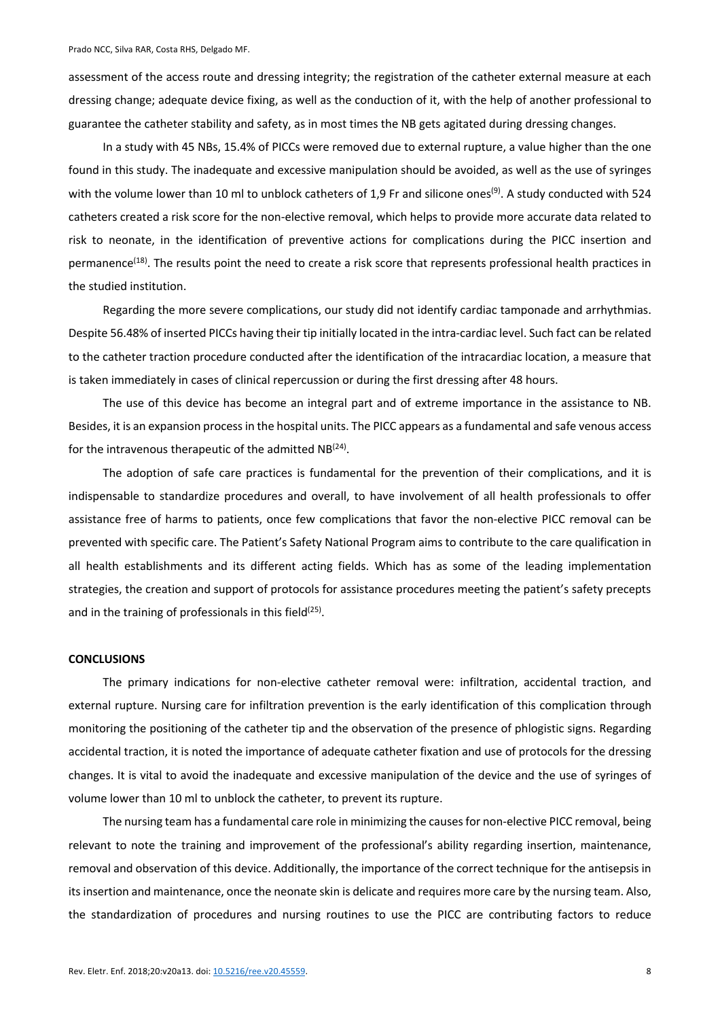assessment of the access route and dressing integrity; the registration of the catheter external measure at each dressing change; adequate device fixing, as well as the conduction of it, with the help of another professional to guarantee the catheter stability and safety, as in most times the NB gets agitated during dressing changes.

In a study with 45 NBs, 15.4% of PICCs were removed due to external rupture, a value higher than the one found in this study. The inadequate and excessive manipulation should be avoided, as well as the use of syringes with the volume lower than 10 ml to unblock catheters of 1,9 Fr and silicone ones<sup>(9)</sup>. A study conducted with 524 catheters created a risk score for the non-elective removal, which helps to provide more accurate data related to risk to neonate, in the identification of preventive actions for complications during the PICC insertion and permanence<sup>(18)</sup>. The results point the need to create a risk score that represents professional health practices in the studied institution.

Regarding the more severe complications, our study did not identify cardiac tamponade and arrhythmias. Despite 56.48% of inserted PICCs having their tip initially located in the intra-cardiac level. Such fact can be related to the catheter traction procedure conducted after the identification of the intracardiac location, a measure that is taken immediately in cases of clinical repercussion or during the first dressing after 48 hours.

The use of this device has become an integral part and of extreme importance in the assistance to NB. Besides, it is an expansion process in the hospital units. The PICC appears as a fundamental and safe venous access for the intravenous therapeutic of the admitted  $NB^{(24)}$ .

The adoption of safe care practices is fundamental for the prevention of their complications, and it is indispensable to standardize procedures and overall, to have involvement of all health professionals to offer assistance free of harms to patients, once few complications that favor the non-elective PICC removal can be prevented with specific care. The Patient's Safety National Program aims to contribute to the care qualification in all health establishments and its different acting fields. Which has as some of the leading implementation strategies, the creation and support of protocols for assistance procedures meeting the patient's safety precepts and in the training of professionals in this field $(25)$ .

### **CONCLUSIONS**

The primary indications for non-elective catheter removal were: infiltration, accidental traction, and external rupture. Nursing care for infiltration prevention is the early identification of this complication through monitoring the positioning of the catheter tip and the observation of the presence of phlogistic signs. Regarding accidental traction, it is noted the importance of adequate catheter fixation and use of protocols for the dressing changes. It is vital to avoid the inadequate and excessive manipulation of the device and the use of syringes of volume lower than 10 ml to unblock the catheter, to prevent its rupture.

The nursing team has a fundamental care role in minimizing the causes for non-elective PICC removal, being relevant to note the training and improvement of the professional's ability regarding insertion, maintenance, removal and observation of this device. Additionally, the importance of the correct technique for the antisepsis in its insertion and maintenance, once the neonate skin is delicate and requires more care by the nursing team. Also, the standardization of procedures and nursing routines to use the PICC are contributing factors to reduce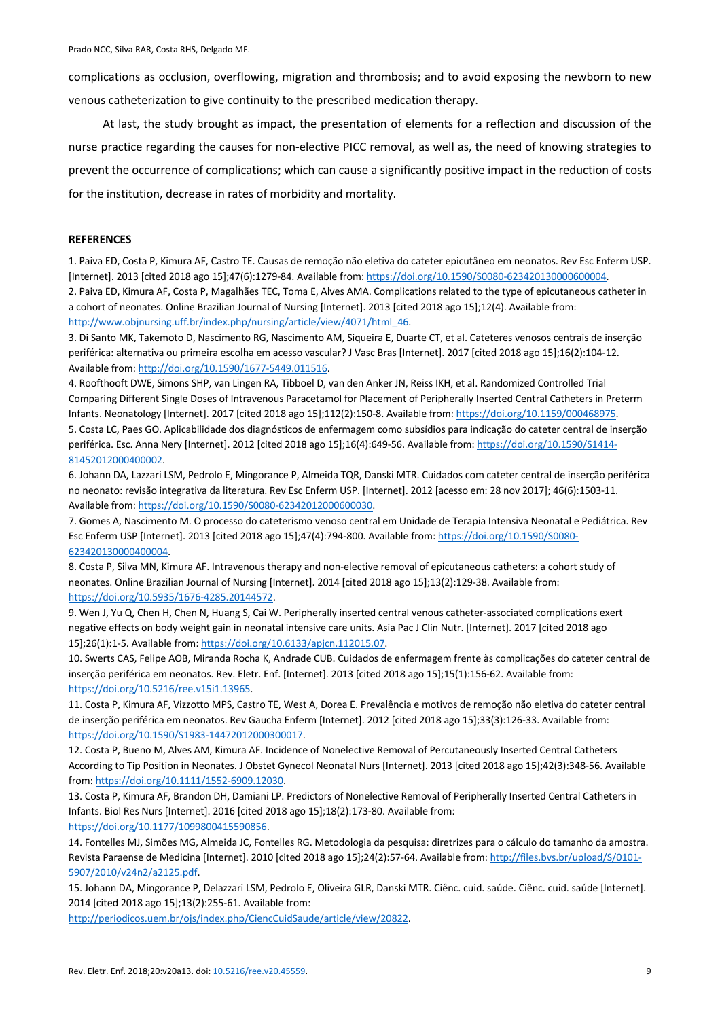complications as occlusion, overflowing, migration and thrombosis; and to avoid exposing the newborn to new venous catheterization to give continuity to the prescribed medication therapy.

At last, the study brought as impact, the presentation of elements for a reflection and discussion of the nurse practice regarding the causes for non-elective PICC removal, as well as, the need of knowing strategies to prevent the occurrence of complications; which can cause a significantly positive impact in the reduction of costs for the institution, decrease in rates of morbidity and mortality.

#### **REFERENCES**

1. Paiva ED, Costa P, Kimura AF, Castro TE. Causas de remoção não eletiva do cateter epicutâneo em neonatos. Rev Esc Enferm USP. [Internet]. 2013 [cited 2018 ago 15];47(6):1279-84. Available from: https://doi.org/10.1590/S0080-623420130000600004. 2. Paiva ED, Kimura AF, Costa P, Magalhães TEC, Toma E, Alves AMA. Complications related to the type of epicutaneous catheter in a cohort of neonates. Online Brazilian Journal of Nursing [Internet]. 2013 [cited 2018 ago 15];12(4). Available from: http://www.objnursing.uff.br/index.php/nursing/article/view/4071/html\_46.

3. Di Santo MK, Takemoto D, Nascimento RG, Nascimento AM, Siqueira E, Duarte CT, et al. Cateteres venosos centrais de inserção periférica: alternativa ou primeira escolha em acesso vascular? J Vasc Bras [Internet]. 2017 [cited 2018 ago 15];16(2):104-12. Available from: http://doi.org/10.1590/1677-5449.011516.

4. Roofthooft DWE, Simons SHP, van Lingen RA, Tibboel D, van den Anker JN, Reiss IKH, et al. Randomized Controlled Trial Comparing Different Single Doses of Intravenous Paracetamol for Placement of Peripherally Inserted Central Catheters in Preterm Infants. Neonatology [Internet]. 2017 [cited 2018 ago 15];112(2):150-8. Available from: https://doi.org/10.1159/000468975.

5. Costa LC, Paes GO. Aplicabilidade dos diagnósticos de enfermagem como subsídios para indicação do cateter central de inserção periférica. Esc. Anna Nery [Internet]. 2012 [cited 2018 ago 15];16(4):649-56. Available from: https://doi.org/10.1590/S1414- 81452012000400002.

6. Johann DA, Lazzari LSM, Pedrolo E, Mingorance P, Almeida TQR, Danski MTR. Cuidados com cateter central de inserção periférica no neonato: revisão integrativa da literatura. Rev Esc Enferm USP. [Internet]. 2012 [acesso em: 28 nov 2017]; 46(6):1503-11. Available from: https://doi.org/10.1590/S0080-62342012000600030.

7. Gomes A, Nascimento M. O processo do cateterismo venoso central em Unidade de Terapia Intensiva Neonatal e Pediátrica. Rev Esc Enferm USP [Internet]. 2013 [cited 2018 ago 15];47(4):794-800. Available from: https://doi.org/10.1590/S0080- 623420130000400004.

8. Costa P, Silva MN, Kimura AF. Intravenous therapy and non-elective removal of epicutaneous catheters: a cohort study of neonates. Online Brazilian Journal of Nursing [Internet]. 2014 [cited 2018 ago 15];13(2):129-38. Available from: https://doi.org/10.5935/1676-4285.20144572.

9. Wen J, Yu Q, Chen H, Chen N, Huang S, Cai W. Peripherally inserted central venous catheter-associated complications exert negative effects on body weight gain in neonatal intensive care units. Asia Pac J Clin Nutr. [Internet]. 2017 [cited 2018 ago 15];26(1):1-5. Available from: https://doi.org/10.6133/apjcn.112015.07.

10. Swerts CAS, Felipe AOB, Miranda Rocha K, Andrade CUB. Cuidados de enfermagem frente às complicações do cateter central de inserção periférica em neonatos. Rev. Eletr. Enf. [Internet]. 2013 [cited 2018 ago 15];15(1):156-62. Available from: https://doi.org/10.5216/ree.v15i1.13965.

11. Costa P, Kimura AF, Vizzotto MPS, Castro TE, West A, Dorea E. Prevalência e motivos de remoção não eletiva do cateter central de inserção periférica em neonatos. Rev Gaucha Enferm [Internet]. 2012 [cited 2018 ago 15];33(3):126-33. Available from: https://doi.org/10.1590/S1983-14472012000300017.

12. Costa P, Bueno M, Alves AM, Kimura AF. Incidence of Nonelective Removal of Percutaneously Inserted Central Catheters According to Tip Position in Neonates. J Obstet Gynecol Neonatal Nurs [Internet]. 2013 [cited 2018 ago 15];42(3):348-56. Available from: https://doi.org/10.1111/1552-6909.12030.

13. Costa P, Kimura AF, Brandon DH, Damiani LP. Predictors of Nonelective Removal of Peripherally Inserted Central Catheters in Infants. Biol Res Nurs [Internet]. 2016 [cited 2018 ago 15];18(2):173-80. Available from: https://doi.org/10.1177/1099800415590856.

14. Fontelles MJ, Simões MG, Almeida JC, Fontelles RG. Metodologia da pesquisa: diretrizes para o cálculo do tamanho da amostra. Revista Paraense de Medicina [Internet]. 2010 [cited 2018 ago 15];24(2):57-64. Available from: http://files.bvs.br/upload/S/0101-5907/2010/v24n2/a2125.pdf.

15. Johann DA, Mingorance P, Delazzari LSM, Pedrolo E, Oliveira GLR, Danski MTR. Ciênc. cuid. saúde. Ciênc. cuid. saúde [Internet]. 2014 [cited 2018 ago 15];13(2):255-61. Available from:

http://periodicos.uem.br/ojs/index.php/CiencCuidSaude/article/view/20822.